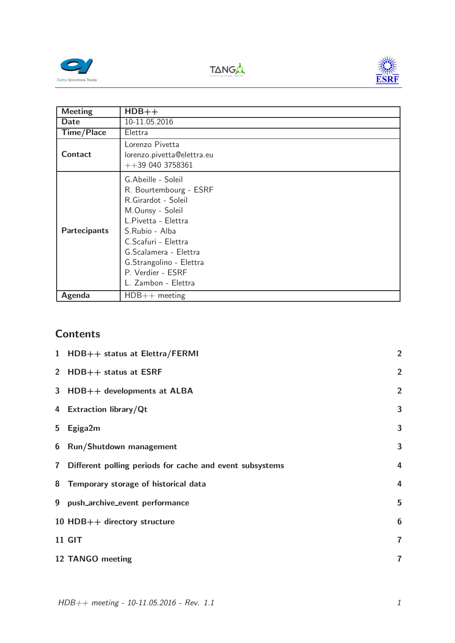





| <b>Meeting</b>      | $HDB++$                                                                                                                                                                                                                                                 |
|---------------------|---------------------------------------------------------------------------------------------------------------------------------------------------------------------------------------------------------------------------------------------------------|
| Date                | 10-11.05.2016                                                                                                                                                                                                                                           |
| <b>Time/Place</b>   | Elettra                                                                                                                                                                                                                                                 |
| Contact             | Lorenzo Pivetta<br>lorenzo.pivetta@elettra.eu<br>$++390403758361$                                                                                                                                                                                       |
| <b>Partecipants</b> | G.Abeille - Soleil<br>R. Bourtembourg - ESRF<br>R.Girardot - Soleil<br>M.Ounsy - Soleil<br>L.Pivetta - Elettra<br>S.Rubio - Alba<br>C.Scafuri - Elettra<br>G.Scalamera - Elettra<br>G.Strangolino - Elettra<br>P. Verdier - ESRF<br>L. Zambon - Elettra |
| Agenda              | $HDB++$ meeting                                                                                                                                                                                                                                         |

## **Contents**

|                         | 1 HDB++ status at Elettra/FERMI                          | $\overline{2}$          |
|-------------------------|----------------------------------------------------------|-------------------------|
|                         | 2 HDB++ status at ESRF                                   | $\overline{2}$          |
|                         | 3 HDB++ developments at ALBA                             | $\overline{2}$          |
|                         | 4 Extraction library/Qt                                  | 3                       |
| 5                       | Egiga2m                                                  | 3                       |
|                         | 6 Run/Shutdown management                                | 3                       |
| $\overline{\mathbf{r}}$ | Different polling periods for cache and event subsystems | 4                       |
|                         | 8 Temporary storage of historical data                   | 4                       |
|                         | 9 push_archive_event performance                         | 5                       |
|                         | 10 HDB $++$ directory structure                          | $6\phantom{1}6$         |
|                         | <b>11 GIT</b>                                            | $\overline{\mathbf{r}}$ |
|                         | 12 TANGO meeting                                         | $\overline{7}$          |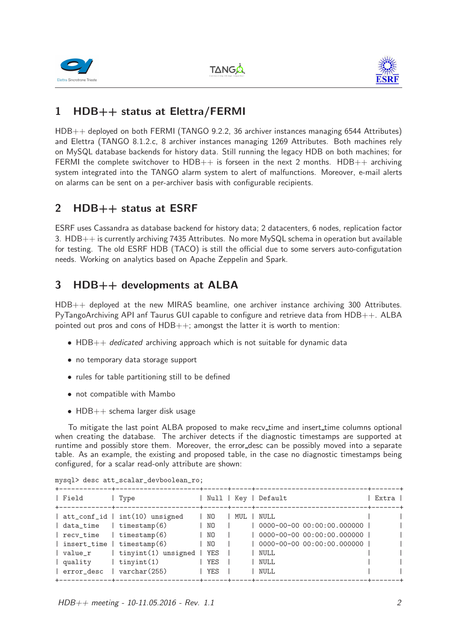





## 1 HDB++ status at Elettra/FERMI

HDB++ deployed on both FERMI (TANGO 9.2.2, 36 archiver instances managing 6544 Attributes) and Elettra (TANGO 8.1.2.c, 8 archiver instances managing 1269 Attributes. Both machines rely on MySQL database backends for history data. Still running the legacy HDB on both machines; for FERMI the complete switchover to  $HDB++$  is forseen in the next 2 months.  $HDB++$  archiving system integrated into the TANGO alarm system to alert of malfunctions. Moreover, e-mail alerts on alarms can be sent on a per-archiver basis with configurable recipients.

### 2 HDB++ status at ESRF

ESRF uses Cassandra as database backend for history data; 2 datacenters, 6 nodes, replication factor 3. HDB++ is currently archiving 7435 Attributes. No more MySQL schema in operation but available for testing. The old ESRF HDB (TACO) is still the official due to some servers auto-configutation needs. Working on analytics based on Apache Zeppelin and Spark.

## 3 HDB++ developments at ALBA

HDB++ deployed at the new MIRAS beamline, one archiver instance archiving 300 Attributes. PyTangoArchiving API anf Taurus GUI capable to configure and retrieve data from HDB++. ALBA pointed out pros and cons of HDB++; amongst the latter it is worth to mention:

- $HDB++$  *dedicated* archiving approach which is not suitable for dynamic data
- no temporary data storage support
- rules for table partitioning still to be defined
- not compatible with Mambo
- $HDB++$  schema larger disk usage

To mitigate the last point ALBA proposed to make recv<sub>-time</sub> and insert<sub>-time</sub> columns optional when creating the database. The archiver detects if the diagnostic timestamps are supported at runtime and possibly store them. Moreover, the error desc can be possibly moved into a separate table. As an example, the existing and proposed table, in the case no diagnostic timestamps being configured, for a scalar read-only attribute are shown:

| Field                                                                                                                         | Type<br>+-------------+------------------                                                                                                                              |                                                              |     | Null   Key   Default                                                                                                                | Extra |  |
|-------------------------------------------------------------------------------------------------------------------------------|------------------------------------------------------------------------------------------------------------------------------------------------------------------------|--------------------------------------------------------------|-----|-------------------------------------------------------------------------------------------------------------------------------------|-------|--|
| $\vert$ data_time $\vert$ timestamp(6)<br>  recv_time<br>  insert_time   timestamp(6)<br>  value_r<br>  quality<br>error_desc | att_conf_id   int(10) unsigned<br>  timestamp $(6)$<br>tinyint(1) unsigned<br>$\vert$ tinyint $(1)$<br>$\text{varchar}(255)$<br>--------+---------------------+------+ | 1 NO<br>NO.<br>NO.<br>NO.<br><b>YES</b><br>YES<br><b>YES</b> | MUL | NULL<br>0000-00-00 00:00:00.000000  <br>0000-00-00 00:00:00.000000  <br>0000-00-00 00:00:00.000000  <br>NULL<br>NULL<br><b>NULL</b> |       |  |

mysql> desc att\_scalar\_devboolean\_ro;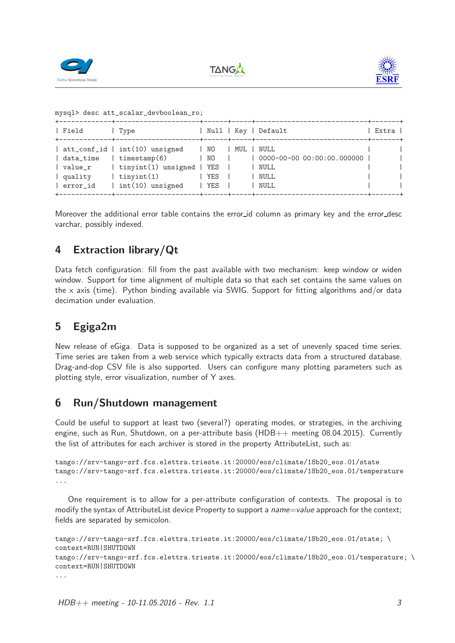





```
mysql> desc att_scalar_devboolean_ro;
```

| Field                                             | Type                                                                                                                                                |                      | Null   Key   Default                                             | Extra 1 |
|---------------------------------------------------|-----------------------------------------------------------------------------------------------------------------------------------------------------|----------------------|------------------------------------------------------------------|---------|
| data_time<br>  value_r<br>  quality<br>  error_id | att_conf_id   int(10) unsigned   NO   MUL   NULL<br>$\vert$ timestamp $(6)$<br>  tinyint(1) unsigned   YES  <br>  tinyint $(1)$<br>int(10) unsigned | 1 NO<br>YES<br>l YES | $\vert$ 0000-00-00 00:00:00.000000  <br>  NULL<br>  NULL<br>NULL |         |

Moreover the additional error table contains the error id column as primary key and the error desc varchar, possibly indexed.

## 4 Extraction library/Qt

Data fetch configuration: fill from the past available with two mechanism: keep window or widen window. Support for time alignment of multiple data so that each set contains the same values on the x axis (time). Python binding available via SWIG. Support for fitting algorithms and/or data decimation under evaluation.

## 5 Egiga2m

New release of eGiga. Data is supposed to be organized as a set of unevenly spaced time series. Time series are taken from a web service which typically extracts data from a structured database. Drag-and-dop CSV file is also supported. Users can configure many plotting parameters such as plotting style, error visualization, number of Y axes.

#### 6 Run/Shutdown management

Could be useful to support at least two (several?) operating modes, or strategies, in the archiving engine, such as Run, Shutdown, on a per-attribute basis  $(HDB++$  meeting 08.04.2015). Currently the list of attributes for each archiver is stored in the property AttributeList, such as:

```
tango://srv-tango-srf.fcs.elettra.trieste.it:20000/eos/climate/18b20_eos.01/state
tango://srv-tango-srf.fcs.elettra.trieste.it:20000/eos/climate/18b20_eos.01/temperature
...
```
One requirement is to allow for a per-attribute configuration of contexts. The proposal is to modify the syntax of AttributeList device Property to support a *name=value* approach for the context; fields are separated by semicolon.

```
tango://srv-tango-srf.fcs.elettra.trieste.it:20000/eos/climate/18b20_eos.01/state; \
context=RUN|SHUTDOWN
tango://srv-tango-srf.fcs.elettra.trieste.it:20000/eos/climate/18b20_eos.01/temperature; \
context=RUN|SHUTDOWN
...
```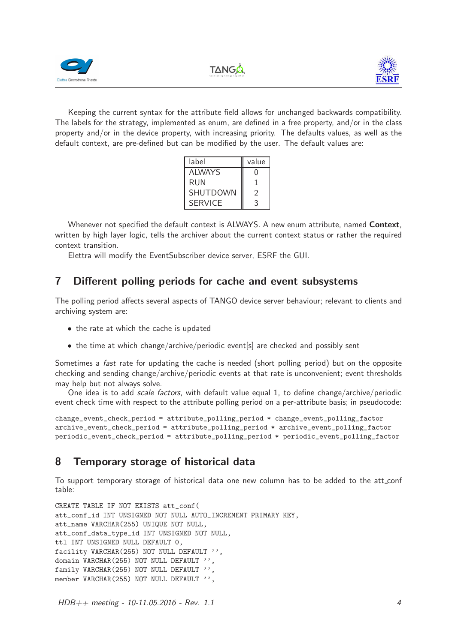





Keeping the current syntax for the attribute field allows for unchanged backwards compatibility. The labels for the strategy, implemented as enum, are defined in a free property, and/or in the class property and/or in the device property, with increasing priority. The defaults values, as well as the default context, are pre-defined but can be modified by the user. The default values are:

| label          | value          |
|----------------|----------------|
| AI WAYS        | 0              |
| RUN            |                |
| SHUTDOWN       | $\mathfrak{D}$ |
| <b>SERVICE</b> | 3              |

Whenever not specified the default context is ALWAYS. A new enum attribute, named Context, written by high layer logic, tells the archiver about the current context status or rather the required context transition.

Elettra will modify the EventSubscriber device server, ESRF the GUI.

#### 7 Different polling periods for cache and event subsystems

The polling period affects several aspects of TANGO device server behaviour; relevant to clients and archiving system are:

- the rate at which the cache is updated
- the time at which change/archive/periodic event[s] are checked and possibly sent

Sometimes a *fast* rate for updating the cache is needed (short polling period) but on the opposite checking and sending change/archive/periodic events at that rate is unconvenient; event thresholds may help but not always solve.

One idea is to add *scale factors*, with default value equal 1, to define change/archive/periodic event check time with respect to the attribute polling period on a per-attribute basis; in pseudocode:

change\_event\_check\_period = attribute\_polling\_period \* change\_event\_polling\_factor archive\_event\_check\_period = attribute\_polling\_period \* archive\_event\_polling\_factor periodic\_event\_check\_period = attribute\_polling\_period \* periodic\_event\_polling\_factor

#### 8 Temporary storage of historical data

To support temporary storage of historical data one new column has to be added to the att conf table:

CREATE TABLE IF NOT EXISTS att\_conf( att\_conf\_id INT UNSIGNED NOT NULL AUTO\_INCREMENT PRIMARY KEY, att\_name VARCHAR(255) UNIQUE NOT NULL, att\_conf\_data\_type\_id INT UNSIGNED NOT NULL, ttl INT UNSIGNED NULL DEFAULT 0, facility VARCHAR(255) NOT NULL DEFAULT '', domain VARCHAR(255) NOT NULL DEFAULT '', family VARCHAR(255) NOT NULL DEFAULT '', member VARCHAR(255) NOT NULL DEFAULT '',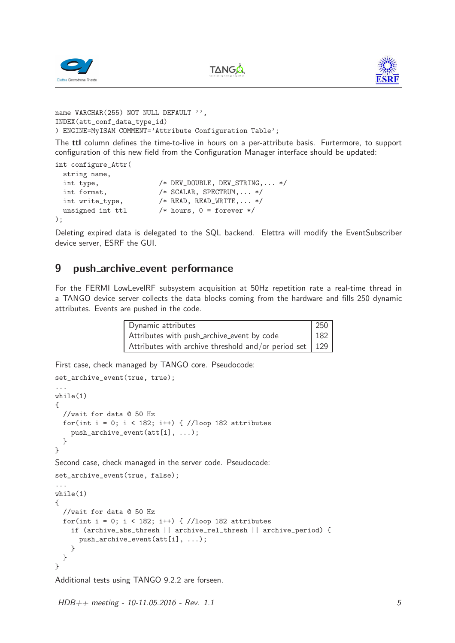





```
name VARCHAR(255) NOT NULL DEFAULT '',
INDEX(att_conf_data_type_id)
) ENGINE=MyISAM COMMENT='Attribute Configuration Table';
```
The ttl column defines the time-to-live in hours on a per-attribute basis. Furtermore, to support configuration of this new field from the Configuration Manager interface should be updated:

```
int configure_Attr(
 string name,
 int type, /* DEV_DOUBLE, DEV_STRING,... */int format, /* SCALAR, SPECTRUM,... */int write_type, /* READ, READ_WRITE,... */
 unsigned int ttl /* hours, 0 = forever */);
```
Deleting expired data is delegated to the SQL backend. Elettra will modify the EventSubscriber device server, ESRF the GUI.

#### 9 push archive event performance

For the FERMI LowLevelRF subsystem acquisition at 50Hz repetition rate a real-time thread in a TANGO device server collects the data blocks coming from the hardware and fills 250 dynamic attributes. Events are pushed in the code.

| Dynamic attributes                                        | 250 |
|-----------------------------------------------------------|-----|
| Attributes with push_archive_event by code                | 182 |
| Attributes with archive threshold and/or period set   129 |     |

First case, check managed by TANGO core. Pseudocode:

```
set_archive_event(true, true);
...
while(1)
{
 //wait for data @ 50 Hz
 for(int i = 0; i < 182; i++) { //loop 182 attributes
    push_archive_event(att[i], ...);
  }
}
Second case, check managed in the server code. Pseudocode:
set_archive_event(true, false);
...
while(1)
{
 //wait for data @ 50 Hz
 for(int i = 0; i < 182; i++) { //loop 182 attributes
    if (archive_abs_thresh || archive_rel_thresh || archive_period) {
      push_archive_event(att[i], ...);
    }
 }
}
```
Additional tests using TANGO 9.2.2 are forseen.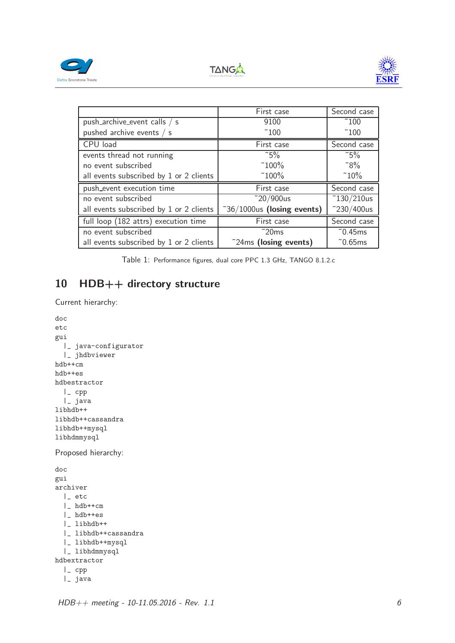





|                                         | First case                           | Second case         |
|-----------------------------------------|--------------------------------------|---------------------|
| push_archive_event calls / s            | 9100                                 | $\degree$ 100       |
| pushed archive events / s               | $\degree$ 100                        | $\degree$ 100       |
| CPU load                                | First case                           | Second case         |
| events thread not running               | $\degree$ 5%                         | $\degree$ 5%        |
| no event subscribed                     | $^{\sim}100\%$                       | $\degree$ 8%        |
| all events subscribed by 1 or 2 clients | $^{\sim}100\%$                       | $^{\circ}10\%$      |
| push_event execution time               | First case                           | Second case         |
| no event subscribed                     | $^{\sim}20/900$ us                   | $\degree$ 130/210us |
| all events subscribed by 1 or 2 clients | $^{\circ}36/1000$ us (losing events) | $^{\sim}$ 230/400us |
| full loop (182 attrs) execution time    | First case                           | Second case         |
| no event subscribed                     | $\degree$ 20ms                       | $\degree$ 0.45ms    |
| all events subscribed by 1 or 2 clients | $\tilde{c}$ 24ms (losing events)     | $\degree$ 0.65ms    |

Table 1: Performance figures, dual core PPC 1.3 GHz, TANGO 8.1.2.c

## 10 HDB++ directory structure

Current hierarchy:

```
doc
etc
gui
 |_ java-configurator
  |_ jhdbviewer
hdb++cm
hdb++es
hdbestractor
 |_ cpp
 |_ java
libhdb++
libhdb++cassandra
libhdb++mysql
libhdmmysql
Proposed hierarchy:
doc
gui
archiver
 |_ etc
 |_ hdb++cm
  |_ hdb++es
  |_ libhdb++
  |_ libhdb++cassandra
  |_ libhdb++mysql
  |_ libhdmmysql
hdbextractor
  |_ cpp
  |_ java
```